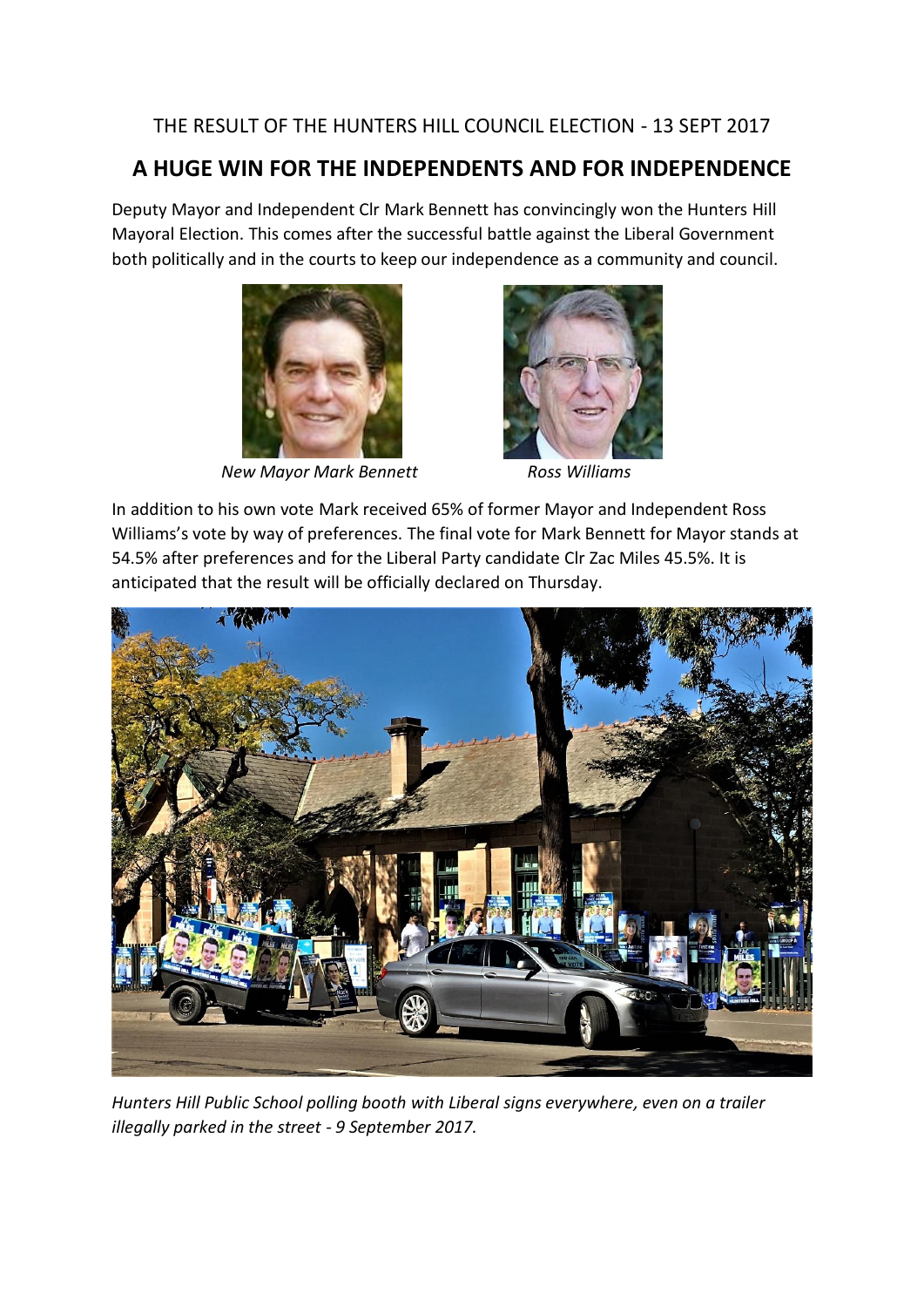## THE RESULT OF THE HUNTERS HILL COUNCIL ELECTION - 13 SEPT 2017

## **A HUGE WIN FOR THE INDEPENDENTS AND FOR INDEPENDENCE**

Deputy Mayor and Independent Clr Mark Bennett has convincingly won the Hunters Hill Mayoral Election. This comes after the successful battle against the Liberal Government both politically and in the courts to keep our independence as a community and council.



 *New Mayor Mark Bennett Ross Williams*



In addition to his own vote Mark received 65% of former Mayor and Independent Ross Williams's vote by way of preferences. The final vote for Mark Bennett for Mayor stands at 54.5% after preferences and for the Liberal Party candidate Clr Zac Miles 45.5%. It is anticipated that the result will be officially declared on Thursday.



*Hunters Hill Public School polling booth with Liberal signs everywhere, even on a trailer illegally parked in the street - 9 September 2017.*